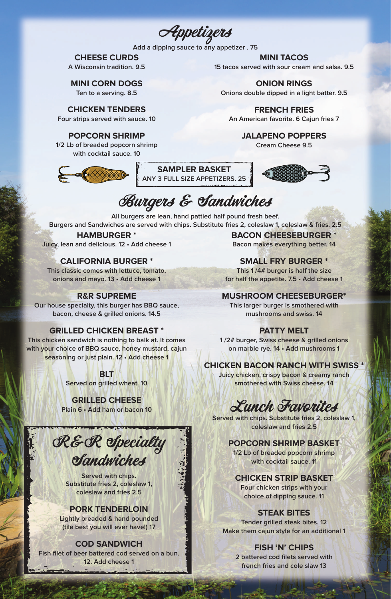Appetizers

**Add a dipping sauce to any appetizer . 75**

## **CHEESE CURDS**

**A Wisconsin tradition. 9.5**

## **MINI CORN DOGS**

**Ten to a serving. 8.5**

## **CHICKEN TENDERS**

**Four strips served with sauce. 10**

#### **POPCORN SHRIMP**

**1/2 Lb of breaded popcorn shrimp with cocktail sauce. 10**



**MINI TACOS 15 tacos served with sour cream and salsa. 9.5**

**ONION RINGS**

**Onions double dipped in a light batter. 9.5**

**FRENCH FRIES An American favorite. 6 Cajun fries 7**

> **JALAPENO POPPERS Cream Cheese 9.5**

## **SAMPLER BASKET ANY 3 FULL SIZE APPETIZERS. 25**



# Burgers & Sandwiches

**All burgers are lean, hand pattied half pound fresh beef. Burgers and Sandwiches are served with chips. Substitute fries 2, coleslaw 1, coleslaw & fries. 2.5**

## **HAMBURGER \***

**Juicy, lean and delicious. 12 • Add cheese 1**

## **CALIFORNIA BURGER \***

**This classic comes with lettuce, tomato, onions and mayo. 13 • Add cheese 1**

## **R&R SUPREME**

**Our house specialty, this burger has BBQ sauce, bacon, cheese & grilled onions. 14.5**

## **GRILLED CHICKEN BREAST \***

**This chicken sandwich is nothing to balk at. It comes with your choice of BBQ sauce, honey mustard, cajun seasoning or just plain. 12 • Add cheese 1**

> **BLT Served on grilled wheat. 10**

## **GRILLED CHEESE**

**Plain 6 • Add ham or bacon 10**

**BACON CHEESEBURGER \* Bacon makes everything better. 14**

## **SMALL FRY BURGER \***

**This 1 /4# burger is half the size for half the appetite. 7.5 • Add cheese 1**

## **MUSHROOM CHEESEBURGER\***

**This larger burger is smothered with mushrooms and swiss. 14**

## **PATTY MELT**

**1 /2# burger, Swiss cheese & grilled onions on marble rye. 14 • Add mushrooms 1**

## **CHICKEN BACON RANCH WITH SWISS \***

**Juicy chicken, crispy bacon & creamy ranch smothered with Swiss cheese. 14**

Lunch Favorites

**Served with chips. Substitute fries 2, coleslaw 1, coleslaw and fries 2.5**

## **POPCORN SHRIMP BASKET**

**1/2 Lb of breaded popcorn shrimp with cocktail sauce. 11**

## **CHICKEN STRIP BASKET**

**Four chicken strips with your choice of dipping sauce. 11**

## **STEAK BITES**

**Tender grilled steak bites. 12 Make them cajun style for an additional 1**

## **FISH 'N' CHIPS**

**2 battered cod filets served with french fries and cole slaw 13**

R&R Specialty Sandwiches

**Served with chips. Substitute fries 2, coleslaw 1, coleslaw and fries 2.5**

## **PORK TENDERLOIN**

**Lightly breaded & hand pounded (tile best you will ever have!) 17**

#### **COD SANDWICH**

**Fish filet of beer battered cod served on a bun. 12. Add cheese 1**